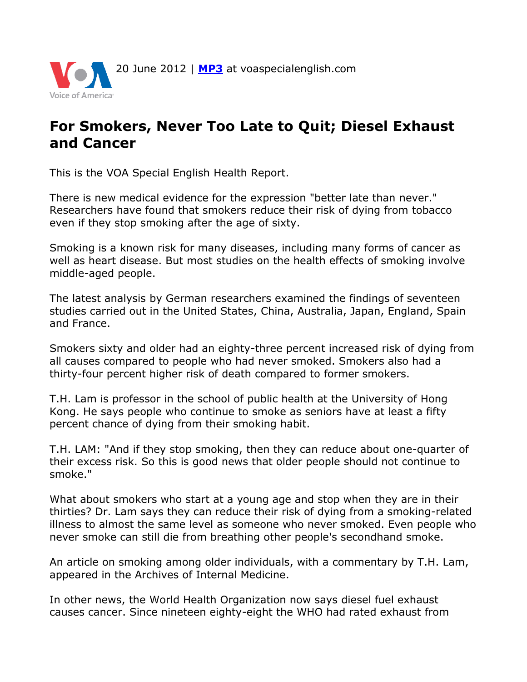

## **For Smokers, Never Too Late to Quit; Diesel Exhaust and Cancer**

This is the VOA Special English Health Report.

There is new medical evidence for the expression "better late than never." Researchers have found that smokers reduce their risk of dying from tobacco even if they stop smoking after the age of sixty.

Smoking is a known risk for many diseases, including many forms of cancer as well as heart disease. But most studies on the health effects of smoking involve middle-aged people.

The latest analysis by German researchers examined the findings of seventeen studies carried out in the United States, China, Australia, Japan, England, Spain and France.

Smokers sixty and older had an eighty-three percent increased risk of dying from all causes compared to people who had never smoked. Smokers also had a thirty-four percent higher risk of death compared to former smokers.

T.H. Lam is professor in the school of public health at the University of Hong Kong. He says people who continue to smoke as seniors have at least a fifty percent chance of dying from their smoking habit.

T.H. LAM: "And if they stop smoking, then they can reduce about one-quarter of their excess risk. So this is good news that older people should not continue to smoke."

What about smokers who start at a young age and stop when they are in their thirties? Dr. Lam says they can reduce their risk of dying from a smoking-related illness to almost the same level as someone who never smoked. Even people who never smoke can still die from breathing other people's secondhand smoke.

An article on smoking among older individuals, with a commentary by T.H. Lam, appeared in the Archives of Internal Medicine.

In other news, the World Health Organization now says diesel fuel exhaust causes cancer. Since nineteen eighty-eight the WHO had rated exhaust from